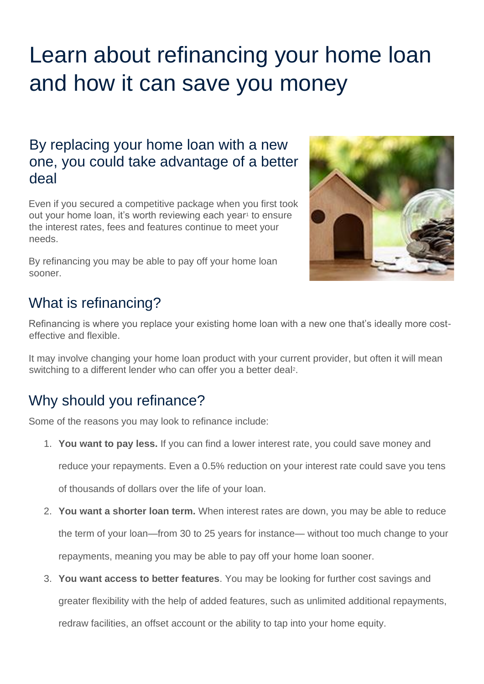# Learn about refinancing your home loan and how it can save you money

## By replacing your home loan with a new one, you could take advantage of a better deal

Even if you secured a competitive package when you first took out your home loan, it's worth reviewing each year<sup>1</sup> to ensure the interest rates, fees and features continue to meet your needs.

By refinancing you may be able to pay off your home loan sooner.



## What is refinancing?

Refinancing is where you replace your existing home loan with a new one that's ideally more costeffective and flexible.

It may involve changing your home loan product with your current provider, but often it will mean switching to a different lender who can offer you a better deal<sup>2</sup>.

# Why should you refinance?

Some of the reasons you may look to refinance include:

1. **You want to pay less.** If you can find a lower interest rate, you could save money and

reduce your repayments. Even a 0.5% reduction on your interest rate could save you tens

of thousands of dollars over the life of your loan.

- 2. **You want a shorter loan term.** When interest rates are down, you may be able to reduce the term of your loan—from 30 to 25 years for instance— without too much change to your repayments, meaning you may be able to pay off your home loan sooner.
- 3. **You want access to better features**. You may be looking for further cost savings and greater flexibility with the help of added features, such as unlimited additional repayments, redraw facilities, an offset account or the ability to tap into your home equity.